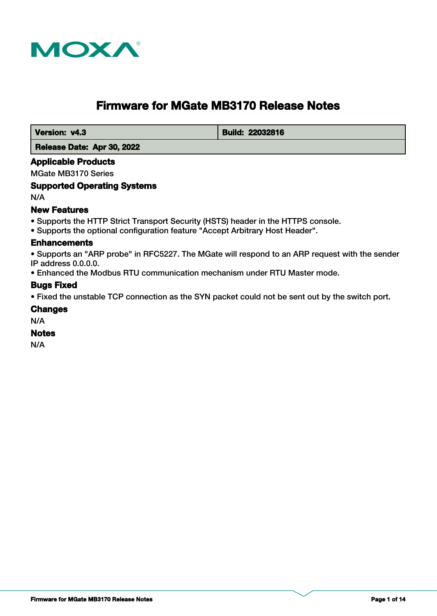

# **Firmware for MGate MB3170 Release Notes**

**Version: v4.3 Build: 22032816** 

 **Release Date: Apr 30, 2022**

# **Applicable Products**

MGate MB3170 Series

# **Supported Operating Systems**

N/A

# **New Features**

- Supports the HTTP Strict Transport Security (HSTS) header in the HTTPS console.
- Supports the optional configuration feature "Accept Arbitrary Host Header".

### **Enhancements**

• Supports an "ARP probe" in RFC5227. The MGate will respond to an ARP request with the sender IP address 0.0.0.0.

• Enhanced the Modbus RTU communication mechanism under RTU Master mode.

# **Bugs Fixed**

• Fixed the unstable TCP connection as the SYN packet could not be sent out by the switch port.

### **Changes**

N/A

### **Notes**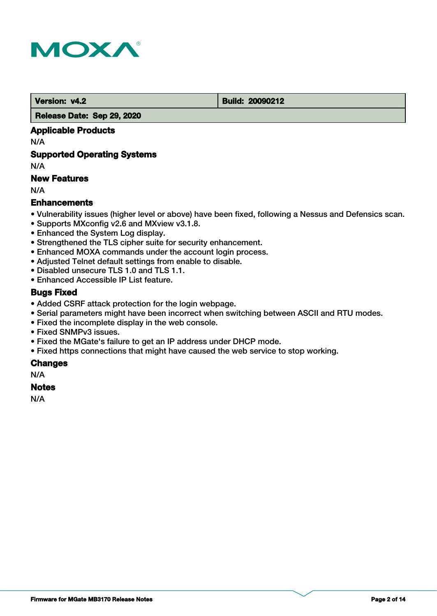

 **Version: v4.2 Build: 20090212** 

 **Release Date: Sep 29, 2020**

# **Applicable Products**

N/A

# **Supported Operating Systems**

N/A

# **New Features**

N/A

# **Enhancements**

- Vulnerability issues (higher level or above) have been fixed, following a Nessus and Defensics scan.
- Supports MXconfig v2.6 and MXview v3.1.8.
- Enhanced the System Log display.
- Strengthened the TLS cipher suite for security enhancement.
- Enhanced MOXA commands under the account login process.
- Adjusted Telnet default settings from enable to disable.
- Disabled unsecure TLS 1.0 and TLS 1.1.
- Enhanced Accessible IP List feature.

# **Bugs Fixed**

- Added CSRF attack protection for the login webpage.
- Serial parameters might have been incorrect when switching between ASCII and RTU modes.
- Fixed the incomplete display in the web console.
- Fixed SNMPv3 issues.
- Fixed the MGate's failure to get an IP address under DHCP mode.
- Fixed https connections that might have caused the web service to stop working.

# **Changes**

N/A

### **Notes**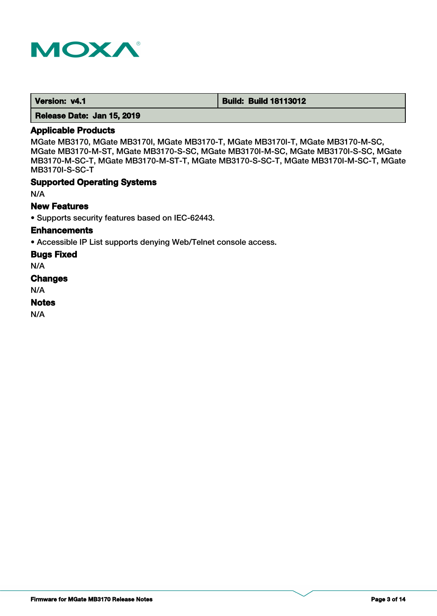

 **Version: v4.1 Build: Build 18113012**

 **Release Date: Jan 15, 2019**

# **Applicable Products**

MGate MB3170, MGate MB3170I, MGate MB3170-T, MGate MB3170I-T, MGate MB3170-M-SC, MGate MB3170-M-ST, MGate MB3170-S-SC, MGate MB3170I-M-SC, MGate MB3170I-S-SC, MGate MB3170-M-SC-T, MGate MB3170-M-ST-T, MGate MB3170-S-SC-T, MGate MB3170I-M-SC-T, MGate MB3170I-S-SC-T

### **Supported Operating Systems**

N/A

# **New Features**

• Supports security features based on IEC-62443.

#### **Enhancements**

• Accessible IP List supports denying Web/Telnet console access.

**Bugs Fixed**

N/A

#### **Changes**

N/A

#### **Notes**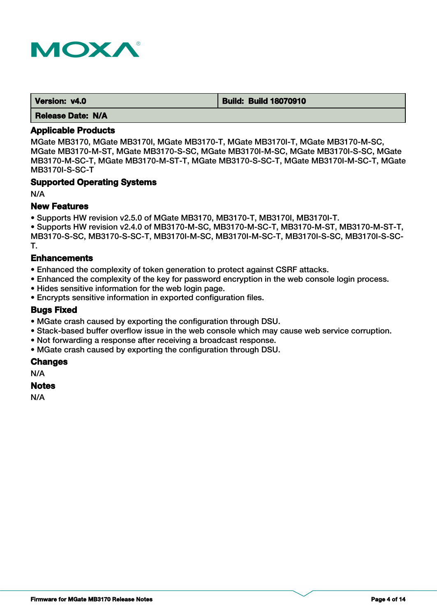

| Version: v4.0 | <b>Build: Build 18070910</b> |
|---------------|------------------------------|
|               |                              |

 **Release Date: N/A**

#### **Applicable Products**

MGate MB3170, MGate MB3170I, MGate MB3170-T, MGate MB3170I-T, MGate MB3170-M-SC, MGate MB3170-M-ST, MGate MB3170-S-SC, MGate MB3170I-M-SC, MGate MB3170I-S-SC, MGate MB3170-M-SC-T, MGate MB3170-M-ST-T, MGate MB3170-S-SC-T, MGate MB3170I-M-SC-T, MGate MB3170I-S-SC-T

#### **Supported Operating Systems**

N/A

# **New Features**

• Supports HW revision v2.5.0 of MGate MB3170, MB3170-T, MB3170I, MB3170I-T.

• Supports HW revision v2.4.0 of MB3170-M-SC, MB3170-M-SC-T, MB3170-M-ST, MB3170-M-ST-T, MB3170-S-SC, MB3170-S-SC-T, MB3170I-M-SC, MB3170I-M-SC-T, MB3170I-S-SC, MB3170I-S-SC-T.

# **Enhancements**

- Enhanced the complexity of token generation to protect against CSRF attacks.
- Enhanced the complexity of the key for password encryption in the web console login process.
- Hides sensitive information for the web login page.
- Encrypts sensitive information in exported configuration files.

### **Bugs Fixed**

- MGate crash caused by exporting the configuration through DSU.
- Stack-based buffer overflow issue in the web console which may cause web service corruption.
- Not forwarding a response after receiving a broadcast response.
- MGate crash caused by exporting the configuration through DSU.

#### **Changes**

N/A

#### **Notes**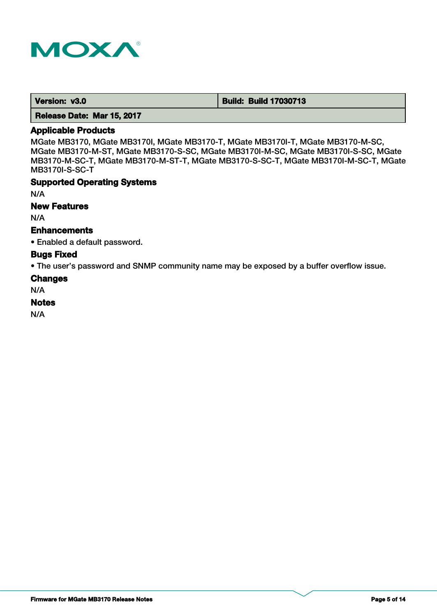

 **Version: v3.0 Build: Build: Build 17030713** 

 **Release Date: Mar 15, 2017**

# **Applicable Products**

MGate MB3170, MGate MB3170I, MGate MB3170-T, MGate MB3170I-T, MGate MB3170-M-SC, MGate MB3170-M-ST, MGate MB3170-S-SC, MGate MB3170I-M-SC, MGate MB3170I-S-SC, MGate MB3170-M-SC-T, MGate MB3170-M-ST-T, MGate MB3170-S-SC-T, MGate MB3170I-M-SC-T, MGate MB3170I-S-SC-T

### **Supported Operating Systems**

N/A

# **New Features**

N/A

## **Enhancements**

• Enabled a default password.

#### **Bugs Fixed**

• The user's password and SNMP community name may be exposed by a buffer overflow issue.

# **Changes**

N/A

#### **Notes**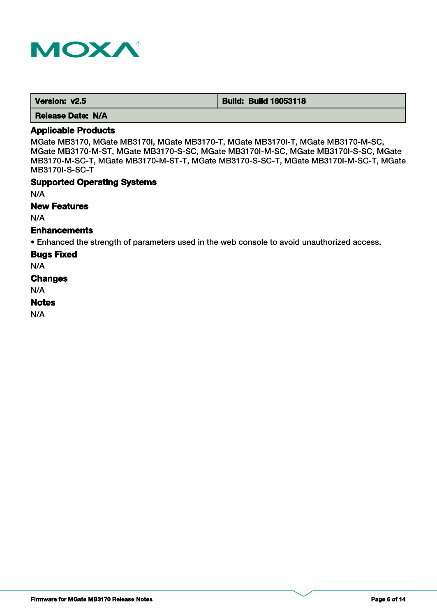

 **Version: v2.5 Build: Build: Build 16053118** 

 **Release Date: N/A**

# **Applicable Products**

MGate MB3170, MGate MB3170I, MGate MB3170-T, MGate MB3170I-T, MGate MB3170-M-SC, MGate MB3170-M-ST, MGate MB3170-S-SC, MGate MB3170I-M-SC, MGate MB3170I-S-SC, MGate MB3170-M-SC-T, MGate MB3170-M-ST-T, MGate MB3170-S-SC-T, MGate MB3170I-M-SC-T, MGate MB3170I-S-SC-T

### **Supported Operating Systems**

N/A

# **New Features**

N/A

# **Enhancements**

• Enhanced the strength of parameters used in the web console to avoid unauthorized access.

**Bugs Fixed**

N/A

#### **Changes**

N/A

#### **Notes**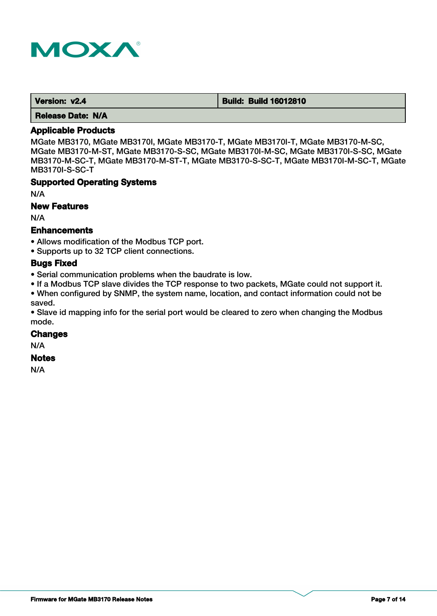

 **Release Date: N/A**

# **Applicable Products**

MGate MB3170, MGate MB3170I, MGate MB3170-T, MGate MB3170I-T, MGate MB3170-M-SC, MGate MB3170-M-ST, MGate MB3170-S-SC, MGate MB3170I-M-SC, MGate MB3170I-S-SC, MGate MB3170-M-SC-T, MGate MB3170-M-ST-T, MGate MB3170-S-SC-T, MGate MB3170I-M-SC-T, MGate MB3170I-S-SC-T

### **Supported Operating Systems**

N/A

# **New Features**

N/A

#### **Enhancements**

- Allows modification of the Modbus TCP port.
- Supports up to 32 TCP client connections.

### **Bugs Fixed**

• Serial communication problems when the baudrate is low.

• If a Modbus TCP slave divides the TCP response to two packets, MGate could not support it.

• When configured by SNMP, the system name, location, and contact information could not be saved.

• Slave id mapping info for the serial port would be cleared to zero when changing the Modbus mode.

#### **Changes**

N/A

### **Notes**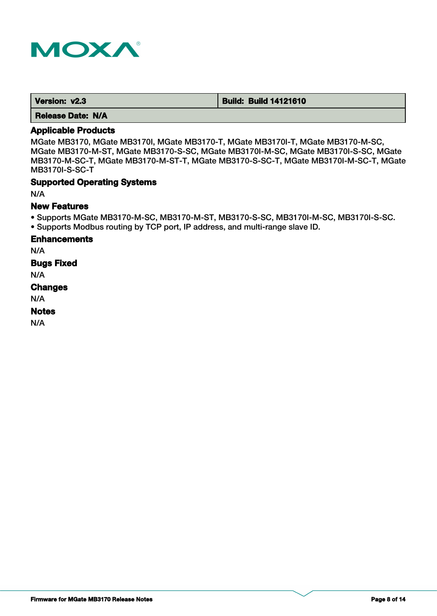

 **Version: v2.3 Build: Build 14121610**

 **Release Date: N/A**

# **Applicable Products**

MGate MB3170, MGate MB3170I, MGate MB3170-T, MGate MB3170I-T, MGate MB3170-M-SC, MGate MB3170-M-ST, MGate MB3170-S-SC, MGate MB3170I-M-SC, MGate MB3170I-S-SC, MGate MB3170-M-SC-T, MGate MB3170-M-ST-T, MGate MB3170-S-SC-T, MGate MB3170I-M-SC-T, MGate MB3170I-S-SC-T

### **Supported Operating Systems**

N/A

#### **New Features**

- Supports MGate MB3170-M-SC, MB3170-M-ST, MB3170-S-SC, MB3170I-M-SC, MB3170I-S-SC.
- Supports Modbus routing by TCP port, IP address, and multi-range slave ID.

# **Enhancements**

N/A

# **Bugs Fixed**

N/A

# **Changes**

N/A

# **Notes**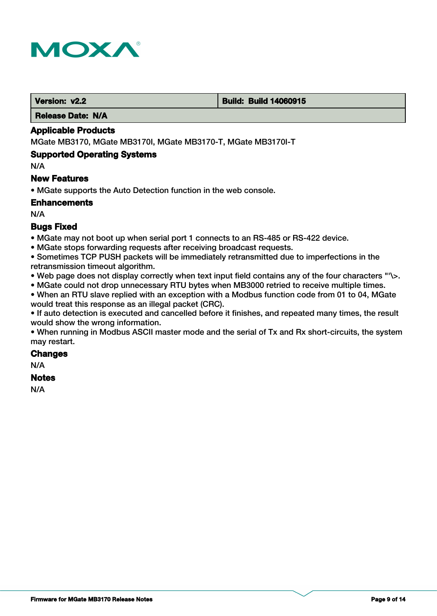

**Version: v2.2 Build: Build: Build 14060915** 

 **Release Date: N/A**

### **Applicable Products**

MGate MB3170, MGate MB3170I, MGate MB3170-T, MGate MB3170I-T

### **Supported Operating Systems**

N/A

# **New Features**

• MGate supports the Auto Detection function in the web console.

### **Enhancements**

N/A

# **Bugs Fixed**

• MGate may not boot up when serial port 1 connects to an RS-485 or RS-422 device.

• MGate stops forwarding requests after receiving broadcast requests.

• Sometimes TCP PUSH packets will be immediately retransmitted due to imperfections in the retransmission timeout algorithm.

- Web page does not display correctly when text input field contains any of the four characters "'\>.
- MGate could not drop unnecessary RTU bytes when MB3000 retried to receive multiple times.

• When an RTU slave replied with an exception with a Modbus function code from 01 to 04, MGate would treat this response as an illegal packet (CRC).

• If auto detection is executed and cancelled before it finishes, and repeated many times, the result would show the wrong information.

• When running in Modbus ASCII master mode and the serial of Tx and Rx short-circuits, the system may restart.

# **Changes**

N/A

# **Notes**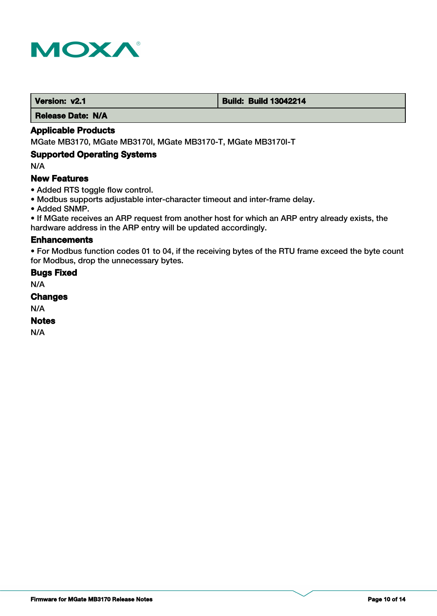

#### **Version: v2.1 Build: Build: Build 13042214**

 **Release Date: N/A**

# **Applicable Products**

MGate MB3170, MGate MB3170I, MGate MB3170-T, MGate MB3170I-T

# **Supported Operating Systems**

N/A

# **New Features**

- Added RTS toggle flow control.
- Modbus supports adjustable inter-character timeout and inter-frame delay.
- Added SNMP.

• If MGate receives an ARP request from another host for which an ARP entry already exists, the hardware address in the ARP entry will be updated accordingly.

#### **Enhancements**

• For Modbus function codes 01 to 04, if the receiving bytes of the RTU frame exceed the byte count for Modbus, drop the unnecessary bytes.

# **Bugs Fixed**

N/A

# **Changes**

N/A

### **Notes**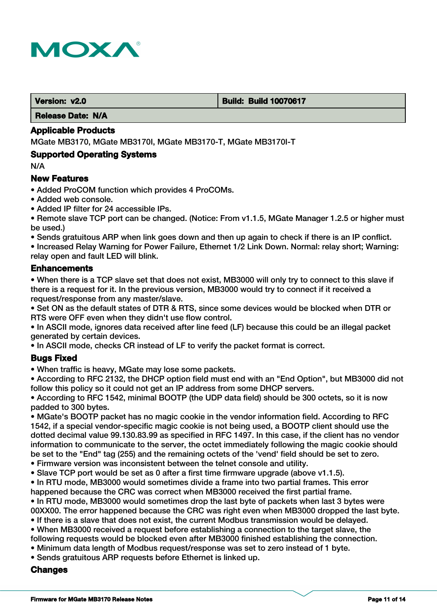

#### **Version: v2.0 Build: Build 10070617**

 **Release Date: N/A**

# **Applicable Products**

MGate MB3170, MGate MB3170I, MGate MB3170-T, MGate MB3170I-T

### **Supported Operating Systems**

N/A

### **New Features**

- Added ProCOM function which provides 4 ProCOMs.
- Added web console.
- Added IP filter for 24 accessible IPs.
- Remote slave TCP port can be changed. (Notice: From v1.1.5, MGate Manager 1.2.5 or higher must be used.)
- Sends gratuitous ARP when link goes down and then up again to check if there is an IP conflict.
- Increased Relay Warning for Power Failure, Ethernet 1/2 Link Down. Normal: relay short; Warning: relay open and fault LED will blink.

#### **Enhancements**

• When there is a TCP slave set that does not exist, MB3000 will only try to connect to this slave if there is a request for it. In the previous version, MB3000 would try to connect if it received a request/response from any master/slave.

• Set ON as the default states of DTR & RTS, since some devices would be blocked when DTR or RTS were OFF even when they didn't use flow control.

• In ASCII mode, ignores data received after line feed (LF) because this could be an illegal packet generated by certain devices.

• In ASCII mode, checks CR instead of LF to verify the packet format is correct.

### **Bugs Fixed**

• When traffic is heavy, MGate may lose some packets.

• According to RFC 2132, the DHCP option field must end with an "End Option", but MB3000 did not follow this policy so it could not get an IP address from some DHCP servers.

• According to RFC 1542, minimal BOOTP (the UDP data field) should be 300 octets, so it is now padded to 300 bytes.

• MGate's BOOTP packet has no magic cookie in the vendor information field. According to RFC 1542, if a special vendor-specific magic cookie is not being used, a BOOTP client should use the dotted decimal value 99.130.83.99 as specified in RFC 1497. In this case, if the client has no vendor information to communicate to the server, the octet immediately following the magic cookie should be set to the "End" tag (255) and the remaining octets of the 'vend' field should be set to zero.

- Firmware version was inconsistent between the telnet console and utility.
- Slave TCP port would be set as 0 after a first time firmware upgrade (above v1.1.5).
- In RTU mode, MB3000 would sometimes divide a frame into two partial frames. This error happened because the CRC was correct when MB3000 received the first partial frame. • In RTU mode, MB3000 would sometimes drop the last byte of packets when last 3 bytes were 00XX00. The error happened because the CRC was right even when MB3000 dropped the last byte.
- If there is a slave that does not exist, the current Modbus transmission would be delayed.
- When MB3000 received a request before establishing a connection to the target slave, the
- following requests would be blocked even after MB3000 finished establishing the connection.
- Minimum data length of Modbus request/response was set to zero instead of 1 byte.
- Sends gratuitous ARP requests before Ethernet is linked up.

### **Changes**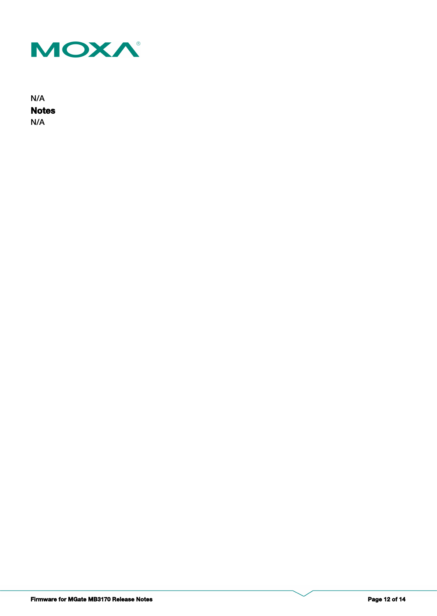

**Notes** N/A N/A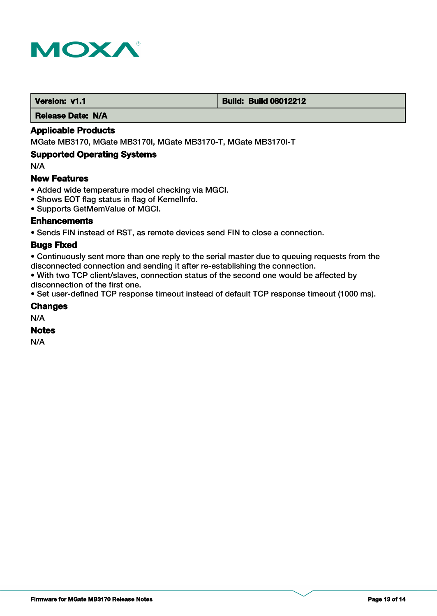

#### **Version: v1.1 Version: v1.1 Build: Build: Build 08012212**

 **Release Date: N/A**

# **Applicable Products**

MGate MB3170, MGate MB3170I, MGate MB3170-T, MGate MB3170I-T

### **Supported Operating Systems**

N/A

#### **New Features**

- Added wide temperature model checking via MGCI.
- Shows EOT flag status in flag of KernelInfo.
- Supports GetMemValue of MGCI.

#### **Enhancements**

• Sends FIN instead of RST, as remote devices send FIN to close a connection.

### **Bugs Fixed**

• Continuously sent more than one reply to the serial master due to queuing requests from the disconnected connection and sending it after re-establishing the connection.

• With two TCP client/slaves, connection status of the second one would be affected by disconnection of the first one.

• Set user-defined TCP response timeout instead of default TCP response timeout (1000 ms).

#### **Changes**

N/A

#### **Notes**